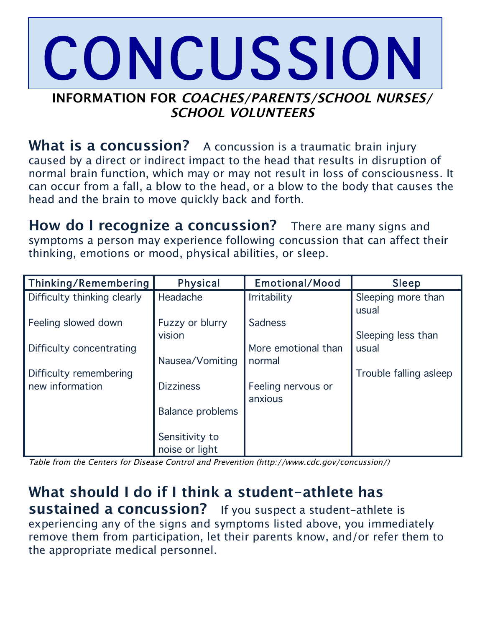## **INFORMATION FOR COACHES/PARENTS/SCHOOL NURSES/ SCHOOL VOLUNTEERS** CONCUSSION

What is a concussion? A concussion is a traumatic brain injury caused by a direct or indirect impact to the head that results in disruption of normal brain function, which may or may not result in loss of consciousness. It can occur from a fall, a blow to the head, or a blow to the body that causes the head and the brain to move quickly back and forth.

**How do I recognize a concussion?** There are many signs and symptoms a person may experience following concussion that can affect their thinking, emotions or mood, physical abilities, or sleep.

| <b>Physical</b>  | Emotional/Mood                                                  | Sleep                       |
|------------------|-----------------------------------------------------------------|-----------------------------|
| Headache         | <b>Irritability</b>                                             | Sleeping more than<br>usual |
| Fuzzy or blurry  | Sadness                                                         |                             |
|                  | More emotional than                                             | Sleeping less than<br>usual |
|                  | normal                                                          |                             |
|                  |                                                                 | Trouble falling asleep      |
|                  | anxious                                                         |                             |
| Balance problems |                                                                 |                             |
| Sensitivity to   |                                                                 |                             |
|                  | vision<br>Nausea/Vomiting<br><b>Dizziness</b><br>noise or light | Feeling nervous or          |

Table from the Centers for Disease Control and Prevention (http://www.cdc.gov/concussion/)

**What should I do if I think a student-athlete has sustained a concussion?** If you suspect a student-athlete is experiencing any of the signs and symptoms listed above, you immediately remove them from participation, let their parents know, and/or refer them to the appropriate medical personnel.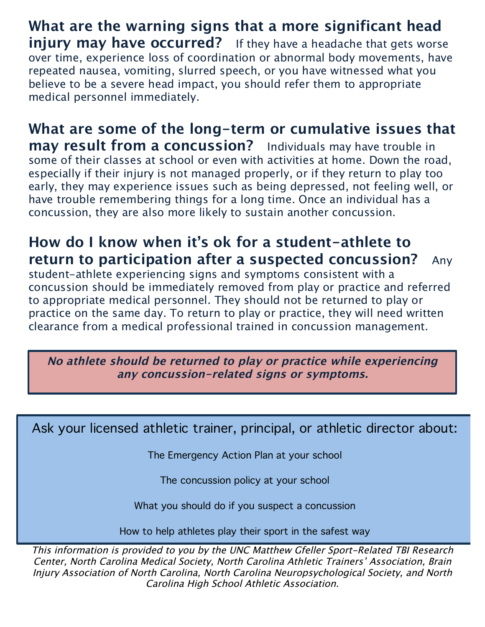**What are the warning signs that a more significant head injury may have occurred?** If they have a headache that gets worse over time, experience loss of coordination or abnormal body movements, have repeated nausea, vomiting, slurred speech, or you have witnessed what you believe to be a severe head impact, you should refer them to appropriate medical personnel immediately.

**What are some of the long-term or cumulative issues that may result from a concussion?** Individuals may have trouble in some of their classes at school or even with activities at home. Down the road, especially if their injury is not managed properly, or if they return to play too early, they may experience issues such as being depressed, not feeling well, or have trouble remembering things for a long time. Once an individual has a concussion, they are also more likely to sustain another concussion.

## **How do I know when it's ok for a student-athlete to return to participation after a suspected concussion?** Any

student-athlete experiencing signs and symptoms consistent with a concussion should be immediately removed from play or practice and referred to appropriate medical personnel. They should not be returned to play or practice on the same day. To return to play or practice, they will need written clearance from a medical professional trained in concussion management.

**No athlete should be returned to play or practice while experiencing any concussion-related signs or symptoms.**

Ask your licensed athletic trainer, principal, or athletic director about:

The Emergency Action Plan at your school

The concussion policy at your school

What you should do if you suspect a concussion

How to help athletes play their sport in the safest way

This information is provided to you by the UNC Matthew Gfeller Sport-Related TBI Research Center, North Carolina Medical Society, North Carolina Athletic Trainers' Association, Brain Injury Association of North Carolina, North Carolina Neuropsychological Society, and North Carolina High School Athletic Association.